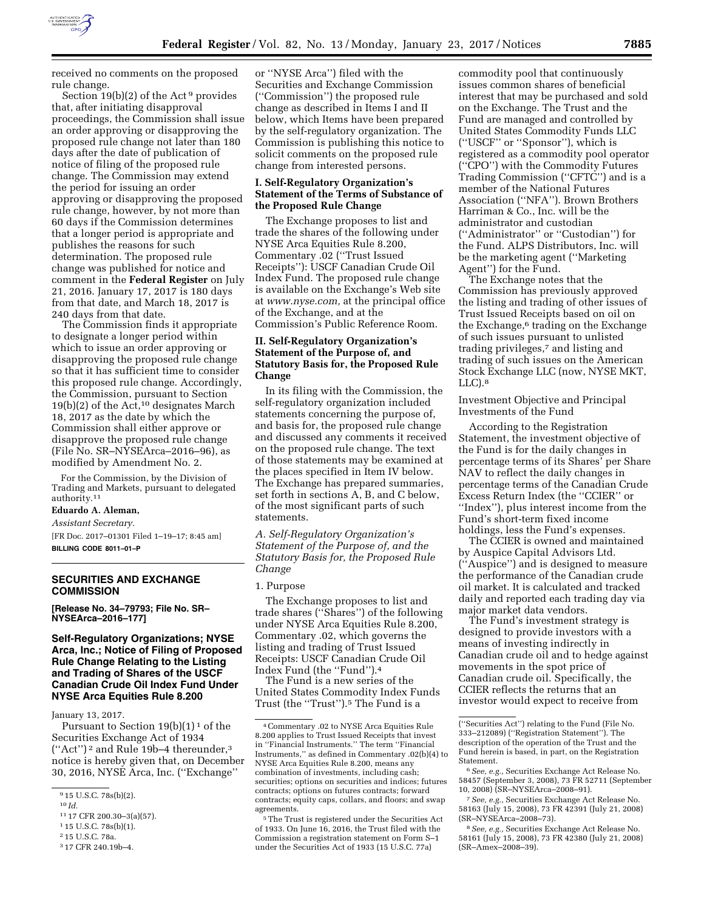

received no comments on the proposed rule change.

Section  $19(b)(2)$  of the Act<sup>9</sup> provides that, after initiating disapproval proceedings, the Commission shall issue an order approving or disapproving the proposed rule change not later than 180 days after the date of publication of notice of filing of the proposed rule change. The Commission may extend the period for issuing an order approving or disapproving the proposed rule change, however, by not more than 60 days if the Commission determines that a longer period is appropriate and publishes the reasons for such determination. The proposed rule change was published for notice and comment in the **Federal Register** on July 21, 2016. January 17, 2017 is 180 days from that date, and March 18, 2017 is 240 days from that date.

The Commission finds it appropriate to designate a longer period within which to issue an order approving or disapproving the proposed rule change so that it has sufficient time to consider this proposed rule change. Accordingly, the Commission, pursuant to Section  $19(b)(2)$  of the Act,<sup>10</sup> designates March 18, 2017 as the date by which the Commission shall either approve or disapprove the proposed rule change (File No. SR–NYSEArca–2016–96), as modified by Amendment No. 2.

For the Commission, by the Division of Trading and Markets, pursuant to delegated authority.11

# **Eduardo A. Aleman,**

*Assistant Secretary.* 

[FR Doc. 2017–01301 Filed 1–19–17; 8:45 am] **BILLING CODE 8011–01–P** 

## **SECURITIES AND EXCHANGE COMMISSION**

**[Release No. 34–79793; File No. SR– NYSEArca–2016–177]** 

## **Self-Regulatory Organizations; NYSE Arca, Inc.; Notice of Filing of Proposed Rule Change Relating to the Listing and Trading of Shares of the USCF Canadian Crude Oil Index Fund Under NYSE Arca Equities Rule 8.200**

January 13, 2017.

Pursuant to Section  $19(b)(1)^1$  of the Securities Exchange Act of 1934 (''Act'') 2 and Rule 19b–4 thereunder,3 notice is hereby given that, on December 30, 2016, NYSE Arca, Inc. (''Exchange''

- 11 17 CFR 200.30–3(a)(57).
- 1 15 U.S.C. 78s(b)(1).

or ''NYSE Arca'') filed with the Securities and Exchange Commission (''Commission'') the proposed rule change as described in Items I and II below, which Items have been prepared by the self-regulatory organization. The Commission is publishing this notice to solicit comments on the proposed rule change from interested persons.

## **I. Self-Regulatory Organization's Statement of the Terms of Substance of the Proposed Rule Change**

The Exchange proposes to list and trade the shares of the following under NYSE Arca Equities Rule 8.200, Commentary .02 (''Trust Issued Receipts''): USCF Canadian Crude Oil Index Fund. The proposed rule change is available on the Exchange's Web site at *[www.nyse.com,](http://www.nyse.com)* at the principal office of the Exchange, and at the Commission's Public Reference Room.

## **II. Self-Regulatory Organization's Statement of the Purpose of, and Statutory Basis for, the Proposed Rule Change**

In its filing with the Commission, the self-regulatory organization included statements concerning the purpose of, and basis for, the proposed rule change and discussed any comments it received on the proposed rule change. The text of those statements may be examined at the places specified in Item IV below. The Exchange has prepared summaries, set forth in sections A, B, and C below, of the most significant parts of such statements.

*A. Self-Regulatory Organization's Statement of the Purpose of, and the Statutory Basis for, the Proposed Rule Change* 

#### 1. Purpose

The Exchange proposes to list and trade shares (''Shares'') of the following under NYSE Arca Equities Rule 8.200, Commentary .02, which governs the listing and trading of Trust Issued Receipts: USCF Canadian Crude Oil Index Fund (the ''Fund'').4

The Fund is a new series of the United States Commodity Index Funds Trust (the ''Trust'').5 The Fund is a

5The Trust is registered under the Securities Act of 1933. On June 16, 2016, the Trust filed with the Commission a registration statement on Form S–1 under the Securities Act of 1933 (15 U.S.C. 77a)

commodity pool that continuously issues common shares of beneficial interest that may be purchased and sold on the Exchange. The Trust and the Fund are managed and controlled by United States Commodity Funds LLC (''USCF'' or ''Sponsor''), which is registered as a commodity pool operator (''CPO'') with the Commodity Futures Trading Commission (''CFTC'') and is a member of the National Futures Association (''NFA''). Brown Brothers Harriman & Co., Inc. will be the administrator and custodian (''Administrator'' or ''Custodian'') for the Fund. ALPS Distributors, Inc. will be the marketing agent (''Marketing Agent'') for the Fund.

The Exchange notes that the Commission has previously approved the listing and trading of other issues of Trust Issued Receipts based on oil on the Exchange,<sup>6</sup> trading on the Exchange of such issues pursuant to unlisted trading privileges,<sup>7</sup> and listing and trading of such issues on the American Stock Exchange LLC (now, NYSE MKT,  $LLC$ ). $8$ 

Investment Objective and Principal Investments of the Fund

According to the Registration Statement, the investment objective of the Fund is for the daily changes in percentage terms of its Shares' per Share NAV to reflect the daily changes in percentage terms of the Canadian Crude Excess Return Index (the ''CCIER'' or ''Index''), plus interest income from the Fund's short-term fixed income holdings, less the Fund's expenses.

The CCIER is owned and maintained by Auspice Capital Advisors Ltd. (''Auspice'') and is designed to measure the performance of the Canadian crude oil market. It is calculated and tracked daily and reported each trading day via major market data vendors.

The Fund's investment strategy is designed to provide investors with a means of investing indirectly in Canadian crude oil and to hedge against movements in the spot price of Canadian crude oil. Specifically, the CCIER reflects the returns that an investor would expect to receive from

<sup>9</sup> 15 U.S.C. 78s(b)(2).

<sup>10</sup> *Id.* 

<sup>2</sup> 15 U.S.C. 78a.

<sup>3</sup> 17 CFR 240.19b–4.

<sup>4</sup>Commentary .02 to NYSE Arca Equities Rule 8.200 applies to Trust Issued Receipts that invest in ''Financial Instruments.'' The term ''Financial Instruments,'' as defined in Commentary .02(b)(4) to NYSE Arca Equities Rule 8.200, means any combination of investments, including cash; securities; options on securities and indices; futures contracts; options on futures contracts; forward contracts; equity caps, collars, and floors; and swap agreements.

<sup>(&#</sup>x27;'Securities Act'') relating to the Fund (File No. 333–212089) (''Registration Statement''). The description of the operation of the Trust and the Fund herein is based, in part, on the Registration Statement.

<sup>6</sup>*See, e.g.,* Securities Exchange Act Release No. 58457 (September 3, 2008), 73 FR 52711 (September 10, 2008) (SR–NYSEArca–2008–91).

<sup>7</sup>*See, e.g.,* Securities Exchange Act Release No. 58163 (July 15, 2008), 73 FR 42391 (July 21, 2008) (SR–NYSEArca–2008–73).

<sup>8</sup>*See, e.g.,* Securities Exchange Act Release No. 58161 (July 15, 2008), 73 FR 42380 (July 21, 2008) (SR–Amex–2008–39).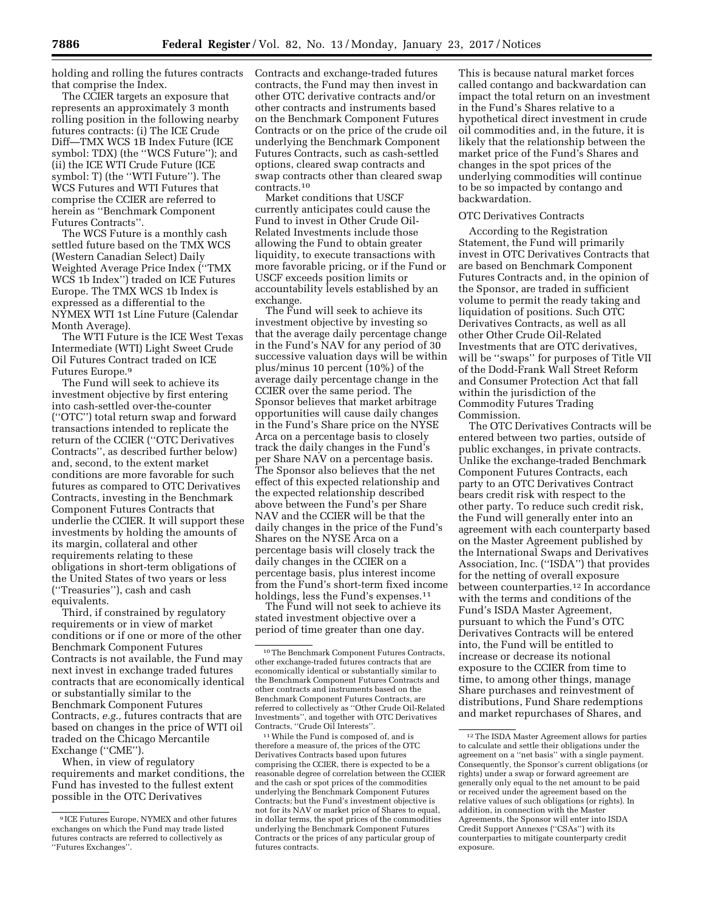holding and rolling the futures contracts that comprise the Index.

The CCIER targets an exposure that represents an approximately 3 month rolling position in the following nearby futures contracts: (i) The ICE Crude Diff—TMX WCS 1B Index Future (ICE symbol: TDX) (the ''WCS Future''); and (ii) the ICE WTI Crude Future (ICE symbol: T) (the ''WTI Future''). The WCS Futures and WTI Futures that comprise the CCIER are referred to herein as ''Benchmark Component Futures Contracts''.

The WCS Future is a monthly cash settled future based on the TMX WCS (Western Canadian Select) Daily Weighted Average Price Index (''TMX WCS 1b Index'') traded on ICE Futures Europe. The TMX WCS 1b Index is expressed as a differential to the NYMEX WTI 1st Line Future (Calendar Month Average).

The WTI Future is the ICE West Texas Intermediate (WTI) Light Sweet Crude Oil Futures Contract traded on ICE Futures Europe.9

The Fund will seek to achieve its investment objective by first entering into cash-settled over-the-counter (''OTC'') total return swap and forward transactions intended to replicate the return of the CCIER (''OTC Derivatives Contracts'', as described further below) and, second, to the extent market conditions are more favorable for such futures as compared to OTC Derivatives Contracts, investing in the Benchmark Component Futures Contracts that underlie the CCIER. It will support these investments by holding the amounts of its margin, collateral and other requirements relating to these obligations in short-term obligations of the United States of two years or less (''Treasuries''), cash and cash equivalents.

Third, if constrained by regulatory requirements or in view of market conditions or if one or more of the other Benchmark Component Futures Contracts is not available, the Fund may next invest in exchange traded futures contracts that are economically identical or substantially similar to the Benchmark Component Futures Contracts, *e.g.,* futures contracts that are based on changes in the price of WTI oil traded on the Chicago Mercantile Exchange (''CME'').

When, in view of regulatory requirements and market conditions, the Fund has invested to the fullest extent possible in the OTC Derivatives

Contracts and exchange-traded futures contracts, the Fund may then invest in other OTC derivative contracts and/or other contracts and instruments based on the Benchmark Component Futures Contracts or on the price of the crude oil underlying the Benchmark Component Futures Contracts, such as cash-settled options, cleared swap contracts and swap contracts other than cleared swap contracts.10

Market conditions that USCF currently anticipates could cause the Fund to invest in Other Crude Oil-Related Investments include those allowing the Fund to obtain greater liquidity, to execute transactions with more favorable pricing, or if the Fund or USCF exceeds position limits or accountability levels established by an exchange.

The Fund will seek to achieve its investment objective by investing so that the average daily percentage change in the Fund's NAV for any period of 30 successive valuation days will be within plus/minus 10 percent (10%) of the average daily percentage change in the CCIER over the same period. The Sponsor believes that market arbitrage opportunities will cause daily changes in the Fund's Share price on the NYSE Arca on a percentage basis to closely track the daily changes in the Fund's per Share NAV on a percentage basis. The Sponsor also believes that the net effect of this expected relationship and the expected relationship described above between the Fund's per Share NAV and the CCIER will be that the daily changes in the price of the Fund's Shares on the NYSE Arca on a percentage basis will closely track the daily changes in the CCIER on a percentage basis, plus interest income from the Fund's short-term fixed income holdings, less the Fund's expenses.<sup>11</sup>

The Fund will not seek to achieve its stated investment objective over a period of time greater than one day.

11While the Fund is composed of, and is therefore a measure of, the prices of the OTC Derivatives Contracts based upon futures comprising the CCIER, there is expected to be a reasonable degree of correlation between the CCIER and the cash or spot prices of the commodities underlying the Benchmark Component Futures Contracts; but the Fund's investment objective is not for its NAV or market price of Shares to equal, in dollar terms, the spot prices of the commodities underlying the Benchmark Component Futures Contracts or the prices of any particular group of futures contracts.

This is because natural market forces called contango and backwardation can impact the total return on an investment in the Fund's Shares relative to a hypothetical direct investment in crude oil commodities and, in the future, it is likely that the relationship between the market price of the Fund's Shares and changes in the spot prices of the underlying commodities will continue to be so impacted by contango and backwardation.

## OTC Derivatives Contracts

According to the Registration Statement, the Fund will primarily invest in OTC Derivatives Contracts that are based on Benchmark Component Futures Contracts and, in the opinion of the Sponsor, are traded in sufficient volume to permit the ready taking and liquidation of positions. Such OTC Derivatives Contracts, as well as all other Other Crude Oil-Related Investments that are OTC derivatives, will be ''swaps'' for purposes of Title VII of the Dodd-Frank Wall Street Reform and Consumer Protection Act that fall within the jurisdiction of the Commodity Futures Trading Commission.

The OTC Derivatives Contracts will be entered between two parties, outside of public exchanges, in private contracts. Unlike the exchange-traded Benchmark Component Futures Contracts, each party to an OTC Derivatives Contract bears credit risk with respect to the other party. To reduce such credit risk, the Fund will generally enter into an agreement with each counterparty based on the Master Agreement published by the International Swaps and Derivatives Association, Inc. (''ISDA'') that provides for the netting of overall exposure between counterparties.12 In accordance with the terms and conditions of the Fund's ISDA Master Agreement, pursuant to which the Fund's OTC Derivatives Contracts will be entered into, the Fund will be entitled to increase or decrease its notional exposure to the CCIER from time to time, to among other things, manage Share purchases and reinvestment of distributions, Fund Share redemptions and market repurchases of Shares, and

<sup>9</sup> ICE Futures Europe, NYMEX and other futures exchanges on which the Fund may trade listed futures contracts are referred to collectively as ''Futures Exchanges''.

<sup>10</sup>The Benchmark Component Futures Contracts, other exchange-traded futures contracts that are economically identical or substantially similar to the Benchmark Component Futures Contracts and other contracts and instruments based on the Benchmark Component Futures Contracts, are referred to collectively as ''Other Crude Oil-Related Investments'', and together with OTC Derivatives Contracts, ''Crude Oil Interests''.

<sup>12</sup>The ISDA Master Agreement allows for parties to calculate and settle their obligations under the agreement on a ''net basis'' with a single payment. Consequently, the Sponsor's current obligations (or rights) under a swap or forward agreement are generally only equal to the net amount to be paid or received under the agreement based on the relative values of such obligations (or rights). In addition, in connection with the Master Agreements, the Sponsor will enter into ISDA Credit Support Annexes (''CSAs'') with its counterparties to mitigate counterparty credit exposure.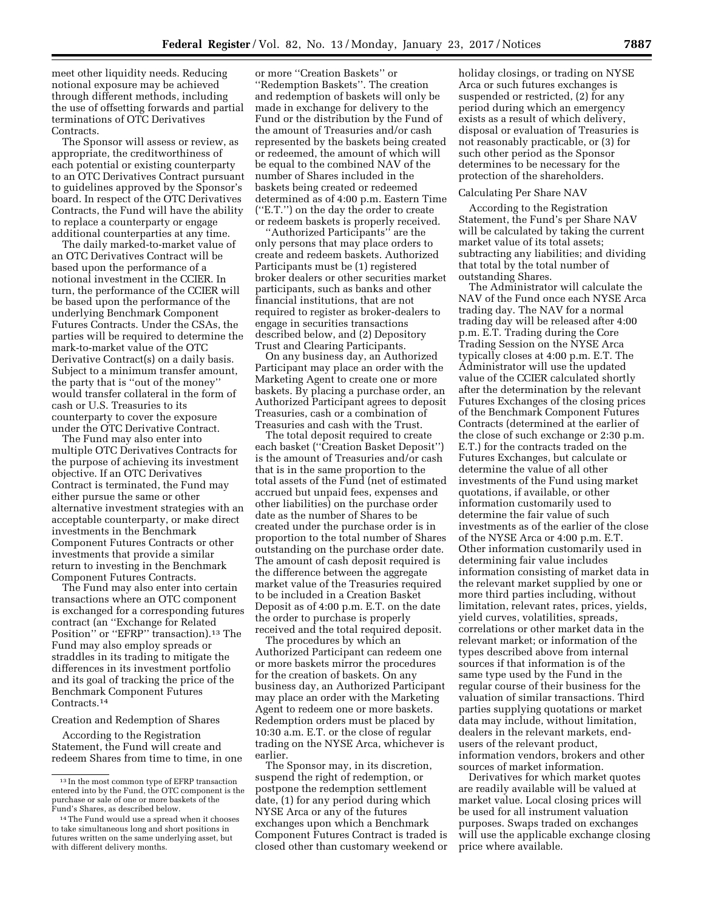meet other liquidity needs. Reducing notional exposure may be achieved through different methods, including the use of offsetting forwards and partial terminations of OTC Derivatives Contracts.

The Sponsor will assess or review, as appropriate, the creditworthiness of each potential or existing counterparty to an OTC Derivatives Contract pursuant to guidelines approved by the Sponsor's board. In respect of the OTC Derivatives Contracts, the Fund will have the ability to replace a counterparty or engage additional counterparties at any time.

The daily marked-to-market value of an OTC Derivatives Contract will be based upon the performance of a notional investment in the CCIER. In turn, the performance of the CCIER will be based upon the performance of the underlying Benchmark Component Futures Contracts. Under the CSAs, the parties will be required to determine the mark-to-market value of the OTC Derivative Contract(s) on a daily basis. Subject to a minimum transfer amount, the party that is ''out of the money'' would transfer collateral in the form of cash or U.S. Treasuries to its counterparty to cover the exposure under the OTC Derivative Contract.

The Fund may also enter into multiple OTC Derivatives Contracts for the purpose of achieving its investment objective. If an OTC Derivatives Contract is terminated, the Fund may either pursue the same or other alternative investment strategies with an acceptable counterparty, or make direct investments in the Benchmark Component Futures Contracts or other investments that provide a similar return to investing in the Benchmark Component Futures Contracts.

The Fund may also enter into certain transactions where an OTC component is exchanged for a corresponding futures contract (an ''Exchange for Related Position" or "EFRP" transaction).<sup>13</sup> The Fund may also employ spreads or straddles in its trading to mitigate the differences in its investment portfolio and its goal of tracking the price of the Benchmark Component Futures Contracts.14

#### Creation and Redemption of Shares

According to the Registration Statement, the Fund will create and redeem Shares from time to time, in one

or more ''Creation Baskets'' or ''Redemption Baskets''. The creation and redemption of baskets will only be made in exchange for delivery to the Fund or the distribution by the Fund of the amount of Treasuries and/or cash represented by the baskets being created or redeemed, the amount of which will be equal to the combined NAV of the number of Shares included in the baskets being created or redeemed determined as of 4:00 p.m. Eastern Time (''E.T.'') on the day the order to create or redeem baskets is properly received.

''Authorized Participants'' are the only persons that may place orders to create and redeem baskets. Authorized Participants must be (1) registered broker dealers or other securities market participants, such as banks and other financial institutions, that are not required to register as broker-dealers to engage in securities transactions described below, and (2) Depository Trust and Clearing Participants.

On any business day, an Authorized Participant may place an order with the Marketing Agent to create one or more baskets. By placing a purchase order, an Authorized Participant agrees to deposit Treasuries, cash or a combination of Treasuries and cash with the Trust.

The total deposit required to create each basket (''Creation Basket Deposit'') is the amount of Treasuries and/or cash that is in the same proportion to the total assets of the Fund (net of estimated accrued but unpaid fees, expenses and other liabilities) on the purchase order date as the number of Shares to be created under the purchase order is in proportion to the total number of Shares outstanding on the purchase order date. The amount of cash deposit required is the difference between the aggregate market value of the Treasuries required to be included in a Creation Basket Deposit as of 4:00 p.m. E.T. on the date the order to purchase is properly received and the total required deposit.

The procedures by which an Authorized Participant can redeem one or more baskets mirror the procedures for the creation of baskets. On any business day, an Authorized Participant may place an order with the Marketing Agent to redeem one or more baskets. Redemption orders must be placed by 10:30 a.m. E.T. or the close of regular trading on the NYSE Arca, whichever is earlier.

The Sponsor may, in its discretion, suspend the right of redemption, or postpone the redemption settlement date, (1) for any period during which NYSE Arca or any of the futures exchanges upon which a Benchmark Component Futures Contract is traded is closed other than customary weekend or holiday closings, or trading on NYSE Arca or such futures exchanges is suspended or restricted, (2) for any period during which an emergency exists as a result of which delivery, disposal or evaluation of Treasuries is not reasonably practicable, or (3) for such other period as the Sponsor determines to be necessary for the protection of the shareholders.

#### Calculating Per Share NAV

According to the Registration Statement, the Fund's per Share NAV will be calculated by taking the current market value of its total assets; subtracting any liabilities; and dividing that total by the total number of outstanding Shares.

The Administrator will calculate the NAV of the Fund once each NYSE Arca trading day. The NAV for a normal trading day will be released after 4:00 p.m. E.T. Trading during the Core Trading Session on the NYSE Arca typically closes at 4:00 p.m. E.T. The Administrator will use the updated value of the CCIER calculated shortly after the determination by the relevant Futures Exchanges of the closing prices of the Benchmark Component Futures Contracts (determined at the earlier of the close of such exchange or 2:30 p.m. E.T.) for the contracts traded on the Futures Exchanges, but calculate or determine the value of all other investments of the Fund using market quotations, if available, or other information customarily used to determine the fair value of such investments as of the earlier of the close of the NYSE Arca or 4:00 p.m. E.T. Other information customarily used in determining fair value includes information consisting of market data in the relevant market supplied by one or more third parties including, without limitation, relevant rates, prices, yields, yield curves, volatilities, spreads, correlations or other market data in the relevant market; or information of the types described above from internal sources if that information is of the same type used by the Fund in the regular course of their business for the valuation of similar transactions. Third parties supplying quotations or market data may include, without limitation, dealers in the relevant markets, endusers of the relevant product, information vendors, brokers and other sources of market information.

Derivatives for which market quotes are readily available will be valued at market value. Local closing prices will be used for all instrument valuation purposes. Swaps traded on exchanges will use the applicable exchange closing price where available.

<sup>13</sup> In the most common type of EFRP transaction entered into by the Fund, the OTC component is the purchase or sale of one or more baskets of the Fund's Shares, as described below.

<sup>14</sup>The Fund would use a spread when it chooses to take simultaneous long and short positions in futures written on the same underlying asset, but with different delivery months.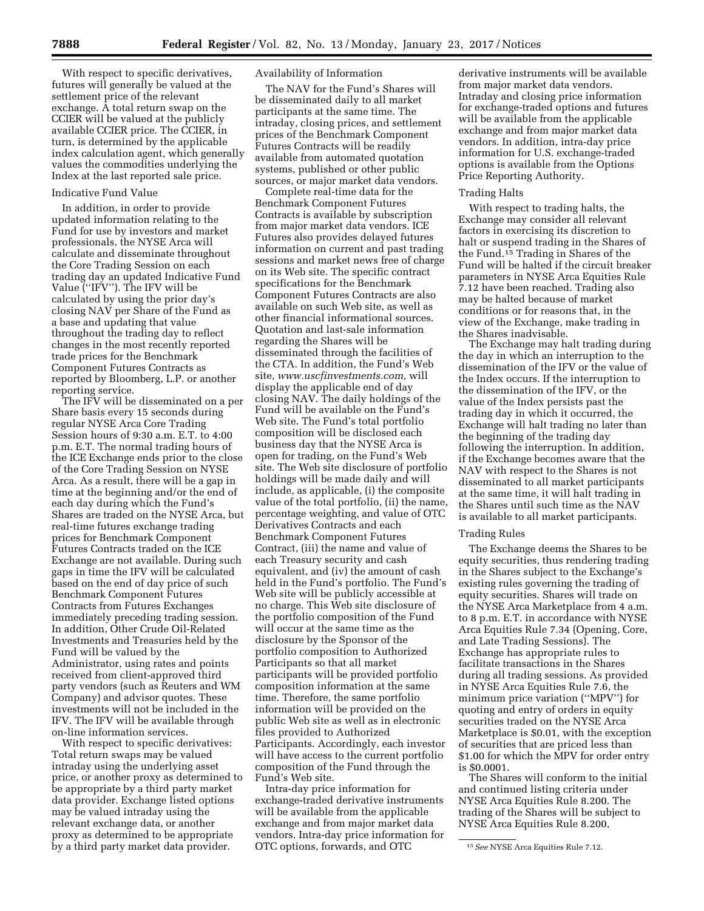With respect to specific derivatives, futures will generally be valued at the settlement price of the relevant exchange. A total return swap on the CCIER will be valued at the publicly available CCIER price. The CCIER, in turn, is determined by the applicable index calculation agent, which generally values the commodities underlying the Index at the last reported sale price.

#### Indicative Fund Value

In addition, in order to provide updated information relating to the Fund for use by investors and market professionals, the NYSE Arca will calculate and disseminate throughout the Core Trading Session on each trading day an updated Indicative Fund Value (''IFV''). The IFV will be calculated by using the prior day's closing NAV per Share of the Fund as a base and updating that value throughout the trading day to reflect changes in the most recently reported trade prices for the Benchmark Component Futures Contracts as reported by Bloomberg, L.P. or another reporting service.

The IFV will be disseminated on a per Share basis every 15 seconds during regular NYSE Arca Core Trading Session hours of 9:30 a.m. E.T. to 4:00 p.m. E.T. The normal trading hours of the ICE Exchange ends prior to the close of the Core Trading Session on NYSE Arca. As a result, there will be a gap in time at the beginning and/or the end of each day during which the Fund's Shares are traded on the NYSE Arca, but real-time futures exchange trading prices for Benchmark Component Futures Contracts traded on the ICE Exchange are not available. During such gaps in time the IFV will be calculated based on the end of day price of such Benchmark Component Futures Contracts from Futures Exchanges immediately preceding trading session. In addition, Other Crude Oil-Related Investments and Treasuries held by the Fund will be valued by the Administrator, using rates and points received from client-approved third party vendors (such as Reuters and WM Company) and advisor quotes. These investments will not be included in the IFV. The IFV will be available through on-line information services.

With respect to specific derivatives: Total return swaps may be valued intraday using the underlying asset price, or another proxy as determined to be appropriate by a third party market data provider. Exchange listed options may be valued intraday using the relevant exchange data, or another proxy as determined to be appropriate by a third party market data provider.

### Availability of Information

The NAV for the Fund's Shares will be disseminated daily to all market participants at the same time. The intraday, closing prices, and settlement prices of the Benchmark Component Futures Contracts will be readily available from automated quotation systems, published or other public sources, or major market data vendors.

Complete real-time data for the Benchmark Component Futures Contracts is available by subscription from major market data vendors. ICE Futures also provides delayed futures information on current and past trading sessions and market news free of charge on its Web site. The specific contract specifications for the Benchmark Component Futures Contracts are also available on such Web site, as well as other financial informational sources. Quotation and last-sale information regarding the Shares will be disseminated through the facilities of the CTA. In addition, the Fund's Web site, *[www.uscfinvestments.com,](http://www.uscfinvestments.com)* will display the applicable end of day closing NAV. The daily holdings of the Fund will be available on the Fund's Web site. The Fund's total portfolio composition will be disclosed each business day that the NYSE Arca is open for trading, on the Fund's Web site. The Web site disclosure of portfolio holdings will be made daily and will include, as applicable, (i) the composite value of the total portfolio, (ii) the name, percentage weighting, and value of OTC Derivatives Contracts and each Benchmark Component Futures Contract, (iii) the name and value of each Treasury security and cash equivalent, and (iv) the amount of cash held in the Fund's portfolio. The Fund's Web site will be publicly accessible at no charge. This Web site disclosure of the portfolio composition of the Fund will occur at the same time as the disclosure by the Sponsor of the portfolio composition to Authorized Participants so that all market participants will be provided portfolio composition information at the same time. Therefore, the same portfolio information will be provided on the public Web site as well as in electronic files provided to Authorized Participants. Accordingly, each investor will have access to the current portfolio composition of the Fund through the Fund's Web site.

Intra-day price information for exchange-traded derivative instruments will be available from the applicable exchange and from major market data vendors. Intra-day price information for OTC options, forwards, and OTC

derivative instruments will be available from major market data vendors. Intraday and closing price information for exchange-traded options and futures will be available from the applicable exchange and from major market data vendors. In addition, intra-day price information for U.S. exchange-traded options is available from the Options Price Reporting Authority.

#### Trading Halts

With respect to trading halts, the Exchange may consider all relevant factors in exercising its discretion to halt or suspend trading in the Shares of the Fund.15 Trading in Shares of the Fund will be halted if the circuit breaker parameters in NYSE Arca Equities Rule 7.12 have been reached. Trading also may be halted because of market conditions or for reasons that, in the view of the Exchange, make trading in the Shares inadvisable.

The Exchange may halt trading during the day in which an interruption to the dissemination of the IFV or the value of the Index occurs. If the interruption to the dissemination of the IFV, or the value of the Index persists past the trading day in which it occurred, the Exchange will halt trading no later than the beginning of the trading day following the interruption. In addition, if the Exchange becomes aware that the NAV with respect to the Shares is not disseminated to all market participants at the same time, it will halt trading in the Shares until such time as the NAV is available to all market participants.

#### Trading Rules

The Exchange deems the Shares to be equity securities, thus rendering trading in the Shares subject to the Exchange's existing rules governing the trading of equity securities. Shares will trade on the NYSE Arca Marketplace from 4 a.m. to 8 p.m. E.T. in accordance with NYSE Arca Equities Rule 7.34 (Opening, Core, and Late Trading Sessions). The Exchange has appropriate rules to facilitate transactions in the Shares during all trading sessions. As provided in NYSE Arca Equities Rule 7.6, the minimum price variation (''MPV'') for quoting and entry of orders in equity securities traded on the NYSE Arca Marketplace is \$0.01, with the exception of securities that are priced less than \$1.00 for which the MPV for order entry is \$0.0001.

The Shares will conform to the initial and continued listing criteria under NYSE Arca Equities Rule 8.200. The trading of the Shares will be subject to NYSE Arca Equities Rule 8.200,

<sup>15</sup>*See* NYSE Arca Equities Rule 7.12.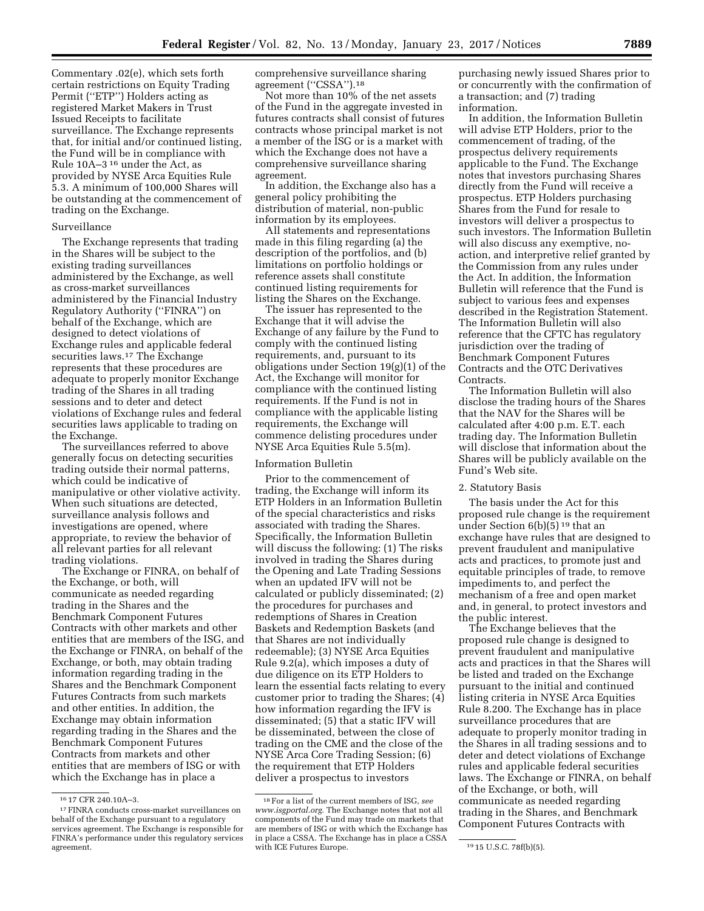Commentary .02(e), which sets forth certain restrictions on Equity Trading Permit (''ETP'') Holders acting as registered Market Makers in Trust Issued Receipts to facilitate surveillance. The Exchange represents that, for initial and/or continued listing, the Fund will be in compliance with Rule 10A–3 16 under the Act, as provided by NYSE Arca Equities Rule 5.3. A minimum of 100,000 Shares will be outstanding at the commencement of trading on the Exchange.

### Surveillance

The Exchange represents that trading in the Shares will be subject to the existing trading surveillances administered by the Exchange, as well as cross-market surveillances administered by the Financial Industry Regulatory Authority (''FINRA'') on behalf of the Exchange, which are designed to detect violations of Exchange rules and applicable federal securities laws.<sup>17</sup> The Exchange represents that these procedures are adequate to properly monitor Exchange trading of the Shares in all trading sessions and to deter and detect violations of Exchange rules and federal securities laws applicable to trading on the Exchange.

The surveillances referred to above generally focus on detecting securities trading outside their normal patterns, which could be indicative of manipulative or other violative activity. When such situations are detected, surveillance analysis follows and investigations are opened, where appropriate, to review the behavior of all relevant parties for all relevant trading violations.

The Exchange or FINRA, on behalf of the Exchange, or both, will communicate as needed regarding trading in the Shares and the Benchmark Component Futures Contracts with other markets and other entities that are members of the ISG, and the Exchange or FINRA, on behalf of the Exchange, or both, may obtain trading information regarding trading in the Shares and the Benchmark Component Futures Contracts from such markets and other entities. In addition, the Exchange may obtain information regarding trading in the Shares and the Benchmark Component Futures Contracts from markets and other entities that are members of ISG or with which the Exchange has in place a

comprehensive surveillance sharing agreement ("CSSA").<sup>18</sup>

Not more than 10% of the net assets of the Fund in the aggregate invested in futures contracts shall consist of futures contracts whose principal market is not a member of the ISG or is a market with which the Exchange does not have a comprehensive surveillance sharing agreement.

In addition, the Exchange also has a general policy prohibiting the distribution of material, non-public information by its employees.

All statements and representations made in this filing regarding (a) the description of the portfolios, and (b) limitations on portfolio holdings or reference assets shall constitute continued listing requirements for listing the Shares on the Exchange.

The issuer has represented to the Exchange that it will advise the Exchange of any failure by the Fund to comply with the continued listing requirements, and, pursuant to its obligations under Section 19(g)(1) of the Act, the Exchange will monitor for compliance with the continued listing requirements. If the Fund is not in compliance with the applicable listing requirements, the Exchange will commence delisting procedures under NYSE Arca Equities Rule 5.5(m).

## Information Bulletin

Prior to the commencement of trading, the Exchange will inform its ETP Holders in an Information Bulletin of the special characteristics and risks associated with trading the Shares. Specifically, the Information Bulletin will discuss the following: (1) The risks involved in trading the Shares during the Opening and Late Trading Sessions when an updated IFV will not be calculated or publicly disseminated; (2) the procedures for purchases and redemptions of Shares in Creation Baskets and Redemption Baskets (and that Shares are not individually redeemable); (3) NYSE Arca Equities Rule 9.2(a), which imposes a duty of due diligence on its ETP Holders to learn the essential facts relating to every customer prior to trading the Shares; (4) how information regarding the IFV is disseminated; (5) that a static IFV will be disseminated, between the close of trading on the CME and the close of the NYSE Arca Core Trading Session; (6) the requirement that ETP Holders deliver a prospectus to investors

purchasing newly issued Shares prior to or concurrently with the confirmation of a transaction; and (7) trading information.

In addition, the Information Bulletin will advise ETP Holders, prior to the commencement of trading, of the prospectus delivery requirements applicable to the Fund. The Exchange notes that investors purchasing Shares directly from the Fund will receive a prospectus. ETP Holders purchasing Shares from the Fund for resale to investors will deliver a prospectus to such investors. The Information Bulletin will also discuss any exemptive, noaction, and interpretive relief granted by the Commission from any rules under the Act. In addition, the Information Bulletin will reference that the Fund is subject to various fees and expenses described in the Registration Statement. The Information Bulletin will also reference that the CFTC has regulatory jurisdiction over the trading of Benchmark Component Futures Contracts and the OTC Derivatives Contracts.

The Information Bulletin will also disclose the trading hours of the Shares that the NAV for the Shares will be calculated after 4:00 p.m. E.T. each trading day. The Information Bulletin will disclose that information about the Shares will be publicly available on the Fund's Web site.

#### 2. Statutory Basis

The basis under the Act for this proposed rule change is the requirement under Section  $6(b)(\bar{5})^{19}$  that an exchange have rules that are designed to prevent fraudulent and manipulative acts and practices, to promote just and equitable principles of trade, to remove impediments to, and perfect the mechanism of a free and open market and, in general, to protect investors and the public interest.

The Exchange believes that the proposed rule change is designed to prevent fraudulent and manipulative acts and practices in that the Shares will be listed and traded on the Exchange pursuant to the initial and continued listing criteria in NYSE Arca Equities Rule 8.200. The Exchange has in place surveillance procedures that are adequate to properly monitor trading in the Shares in all trading sessions and to deter and detect violations of Exchange rules and applicable federal securities laws. The Exchange or FINRA, on behalf of the Exchange, or both, will communicate as needed regarding trading in the Shares, and Benchmark Component Futures Contracts with

<sup>16</sup> 17 CFR 240.10A–3.

<sup>17</sup>FINRA conducts cross-market surveillances on behalf of the Exchange pursuant to a regulatory services agreement. The Exchange is responsible for FINRA's performance under this regulatory services agreement.

<sup>18</sup>For a list of the current members of ISG, *see [www.isgportal.org.](http://www.isgportal.org)* The Exchange notes that not all components of the Fund may trade on markets that are members of ISG or with which the Exchange has in place a CSSA. The Exchange has in place a CSSA with ICE Futures Europe. 1915 U.S.C. 78f(b)(5).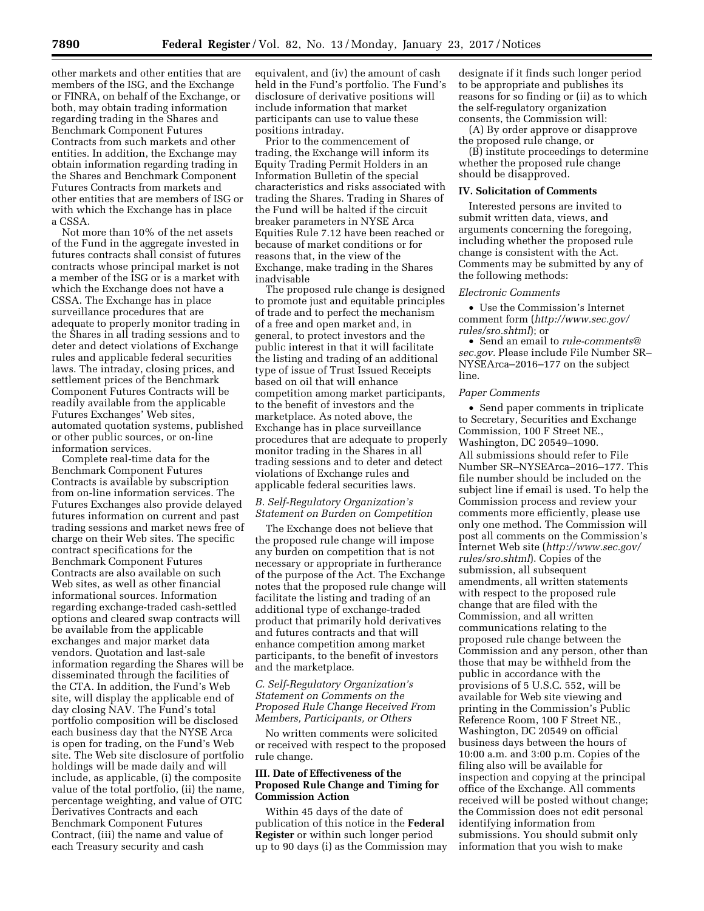other markets and other entities that are members of the ISG, and the Exchange or FINRA, on behalf of the Exchange, or both, may obtain trading information regarding trading in the Shares and Benchmark Component Futures Contracts from such markets and other entities. In addition, the Exchange may obtain information regarding trading in the Shares and Benchmark Component Futures Contracts from markets and other entities that are members of ISG or with which the Exchange has in place a CSSA.

Not more than 10% of the net assets of the Fund in the aggregate invested in futures contracts shall consist of futures contracts whose principal market is not a member of the ISG or is a market with which the Exchange does not have a CSSA. The Exchange has in place surveillance procedures that are adequate to properly monitor trading in the Shares in all trading sessions and to deter and detect violations of Exchange rules and applicable federal securities laws. The intraday, closing prices, and settlement prices of the Benchmark Component Futures Contracts will be readily available from the applicable Futures Exchanges' Web sites, automated quotation systems, published or other public sources, or on-line information services.

Complete real-time data for the Benchmark Component Futures Contracts is available by subscription from on-line information services. The Futures Exchanges also provide delayed futures information on current and past trading sessions and market news free of charge on their Web sites. The specific contract specifications for the Benchmark Component Futures Contracts are also available on such Web sites, as well as other financial informational sources. Information regarding exchange-traded cash-settled options and cleared swap contracts will be available from the applicable exchanges and major market data vendors. Quotation and last-sale information regarding the Shares will be disseminated through the facilities of the CTA. In addition, the Fund's Web site, will display the applicable end of day closing NAV. The Fund's total portfolio composition will be disclosed each business day that the NYSE Arca is open for trading, on the Fund's Web site. The Web site disclosure of portfolio holdings will be made daily and will include, as applicable, (i) the composite value of the total portfolio, (ii) the name, percentage weighting, and value of OTC Derivatives Contracts and each Benchmark Component Futures Contract, (iii) the name and value of each Treasury security and cash

equivalent, and (iv) the amount of cash held in the Fund's portfolio. The Fund's disclosure of derivative positions will include information that market participants can use to value these positions intraday.

Prior to the commencement of trading, the Exchange will inform its Equity Trading Permit Holders in an Information Bulletin of the special characteristics and risks associated with trading the Shares. Trading in Shares of the Fund will be halted if the circuit breaker parameters in NYSE Arca Equities Rule 7.12 have been reached or because of market conditions or for reasons that, in the view of the Exchange, make trading in the Shares inadvisable

The proposed rule change is designed to promote just and equitable principles of trade and to perfect the mechanism of a free and open market and, in general, to protect investors and the public interest in that it will facilitate the listing and trading of an additional type of issue of Trust Issued Receipts based on oil that will enhance competition among market participants, to the benefit of investors and the marketplace. As noted above, the Exchange has in place surveillance procedures that are adequate to properly monitor trading in the Shares in all trading sessions and to deter and detect violations of Exchange rules and applicable federal securities laws.

### *B. Self-Regulatory Organization's Statement on Burden on Competition*

The Exchange does not believe that the proposed rule change will impose any burden on competition that is not necessary or appropriate in furtherance of the purpose of the Act. The Exchange notes that the proposed rule change will facilitate the listing and trading of an additional type of exchange-traded product that primarily hold derivatives and futures contracts and that will enhance competition among market participants, to the benefit of investors and the marketplace.

## *C. Self-Regulatory Organization's Statement on Comments on the Proposed Rule Change Received From Members, Participants, or Others*

No written comments were solicited or received with respect to the proposed rule change.

## **III. Date of Effectiveness of the Proposed Rule Change and Timing for Commission Action**

Within 45 days of the date of publication of this notice in the **Federal Register** or within such longer period up to 90 days (i) as the Commission may

designate if it finds such longer period to be appropriate and publishes its reasons for so finding or (ii) as to which the self-regulatory organization consents, the Commission will:

(A) By order approve or disapprove the proposed rule change, or

(B) institute proceedings to determine whether the proposed rule change should be disapproved.

## **IV. Solicitation of Comments**

Interested persons are invited to submit written data, views, and arguments concerning the foregoing, including whether the proposed rule change is consistent with the Act. Comments may be submitted by any of the following methods:

#### *Electronic Comments*

• Use the Commission's Internet comment form (*[http://www.sec.gov/](http://www.sec.gov/rules/sro.shtml)  [rules/sro.shtml](http://www.sec.gov/rules/sro.shtml)*); or

• Send an email to *[rule-comments@](mailto:rule-comments@sec.gov) [sec.gov.](mailto:rule-comments@sec.gov)* Please include File Number SR– NYSEArca–2016–177 on the subject line.

#### *Paper Comments*

• Send paper comments in triplicate to Secretary, Securities and Exchange Commission, 100 F Street NE., Washington, DC 20549–1090. All submissions should refer to File Number SR–NYSEArca–2016–177. This file number should be included on the subject line if email is used. To help the Commission process and review your comments more efficiently, please use only one method. The Commission will post all comments on the Commission's Internet Web site (*[http://www.sec.gov/](http://www.sec.gov/rules/sro.shtml)  [rules/sro.shtml](http://www.sec.gov/rules/sro.shtml)*). Copies of the submission, all subsequent amendments, all written statements with respect to the proposed rule change that are filed with the Commission, and all written communications relating to the proposed rule change between the Commission and any person, other than those that may be withheld from the public in accordance with the provisions of 5 U.S.C. 552, will be available for Web site viewing and printing in the Commission's Public Reference Room, 100 F Street NE., Washington, DC 20549 on official business days between the hours of 10:00 a.m. and 3:00 p.m. Copies of the filing also will be available for inspection and copying at the principal office of the Exchange. All comments received will be posted without change; the Commission does not edit personal identifying information from submissions. You should submit only information that you wish to make